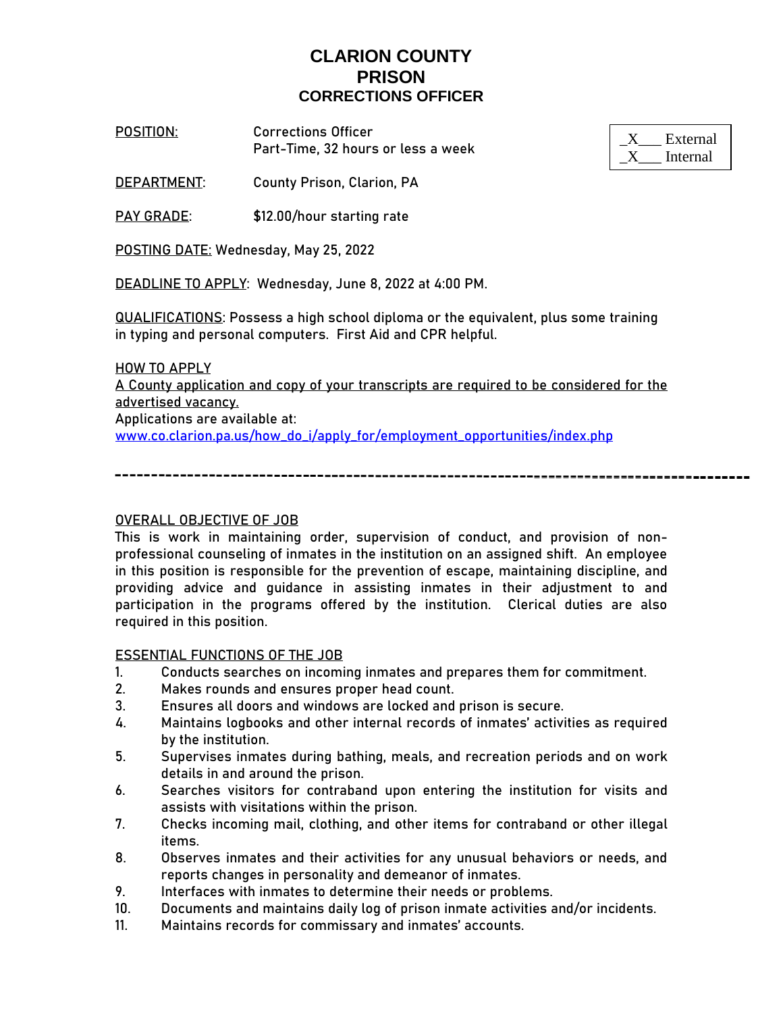**POSITION**: **Corrections Officer** Part-Time, 32 hours or less a week

**DEPARTMENT**: County Prison, Clarion, PA

PAY GRADE: \$12.00/hour starting rate

**POSTING DATE:** Wednesday, May 25, 2022

**DEADLINE TO APPLY:** Wednesday, June 8, 2022 at 4:00 PM.

**QUALIFICATIONS:** Possess a high school diploma or the equivalent, plus some training in typing and personal computers. First Aid and CPR helpful.

### **HOW TO APPLY**

A County application and copy of your transcripts are required to be considered for the advertised vacancy.

Applications are available at: [www.co.clarion.pa.us/how\\_do\\_i/apply\\_for/employment\\_opportunities/index.php](http://www.co.clarion.pa.us/how_do_i/apply_for/employment_opportunities/index.php)

### OVERALL OBJECTIVE OF JOB

This is work in maintaining order, supervision of conduct, and provision of nonprofessional counseling of inmates in the institution on an assigned shift. An employee in this position is responsible for the prevention of escape, maintaining discipline, and providing advice and guidance in assisting inmates in their adjustment to and participation in the programs offered by the institution. Clerical duties are also required in this position.

### ESSENTIAL FUNCTIONS OF THE JOB

- 1. Conducts searches on incoming inmates and prepares them for commitment.
- 2. Makes rounds and ensures proper head count.
- 3. Ensures all doors and windows are locked and prison is secure.
- 4. Maintains logbooks and other internal records of inmates' activities as required by the institution.
- 5. Supervises inmates during bathing, meals, and recreation periods and on work details in and around the prison.
- 6. Searches visitors for contraband upon entering the institution for visits and assists with visitations within the prison.
- 7. Checks incoming mail, clothing, and other items for contraband or other illegal items.
- 8. Observes inmates and their activities for any unusual behaviors or needs, and reports changes in personality and demeanor of inmates.
- 9. Interfaces with inmates to determine their needs or problems.
- 10. Documents and maintains daily log of prison inmate activities and/or incidents.
- 11. Maintains records for commissary and inmates' accounts.

| External |
|----------|
| Internal |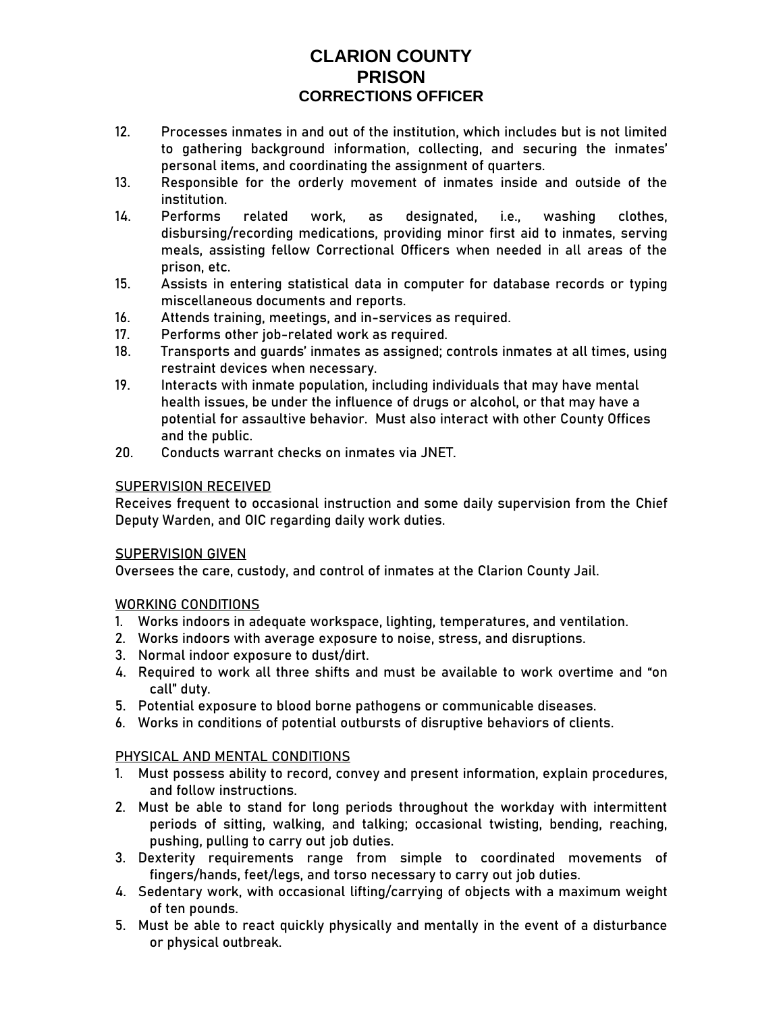- 12. Processes inmates in and out of the institution, which includes but is not limited to gathering background information, collecting, and securing the inmates' personal items, and coordinating the assignment of quarters.
- 13. Responsible for the orderly movement of inmates inside and outside of the institution.
- 14. Performs related work, as designated, i.e., washing clothes, disbursing/recording medications, providing minor first aid to inmates, serving meals, assisting fellow Correctional Officers when needed in all areas of the prison, etc.
- 15. Assists in entering statistical data in computer for database records or typing miscellaneous documents and reports.
- 16. Attends training, meetings, and in-services as required.
- 17. Performs other job-related work as required.
- 18. Transports and guards' inmates as assigned; controls inmates at all times, using restraint devices when necessary.
- 19. Interacts with inmate population, including individuals that may have mental health issues, be under the influence of drugs or alcohol, or that may have a potential for assaultive behavior. Must also interact with other County Offices and the public.
- 20. Conducts warrant checks on inmates via JNET.

### SUPERVISION RECEIVED

Receives frequent to occasional instruction and some daily supervision from the Chief Deputy Warden, and OIC regarding daily work duties.

### SUPERVISION GIVEN

Oversees the care, custody, and control of inmates at the Clarion County Jail.

## WORKING CONDITIONS

- 1. Works indoors in adequate workspace, lighting, temperatures, and ventilation.
- 2. Works indoors with average exposure to noise, stress, and disruptions.
- 3. Normal indoor exposure to dust/dirt.
- 4. Required to work all three shifts and must be available to work overtime and "on call" duty.
- 5. Potential exposure to blood borne pathogens or communicable diseases.
- 6. Works in conditions of potential outbursts of disruptive behaviors of clients.

## PHYSICAL AND MENTAL CONDITIONS

- 1. Must possess ability to record, convey and present information, explain procedures, and follow instructions.
- 2. Must be able to stand for long periods throughout the workday with intermittent periods of sitting, walking, and talking; occasional twisting, bending, reaching, pushing, pulling to carry out job duties.
- 3. Dexterity requirements range from simple to coordinated movements of fingers/hands, feet/legs, and torso necessary to carry out job duties.
- 4. Sedentary work, with occasional lifting/carrying of objects with a maximum weight of ten pounds.
- 5. Must be able to react quickly physically and mentally in the event of a disturbance or physical outbreak.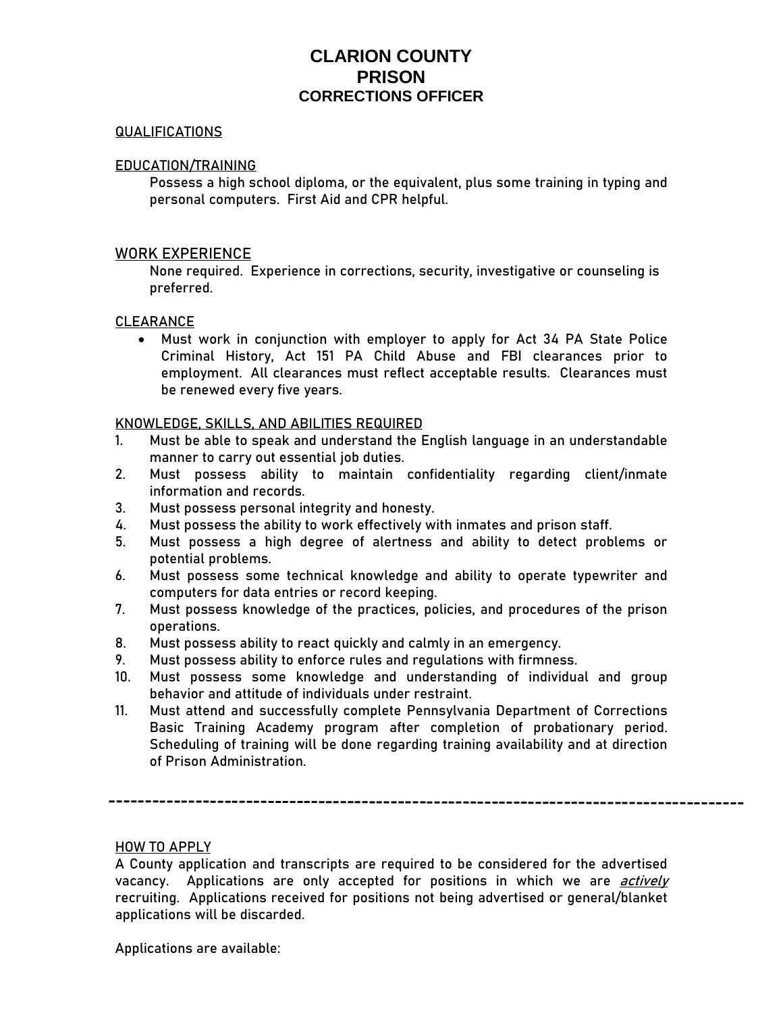### QUALIFICATIONS

### EDUCATION/TRAINING

Possess a high school diploma, or the equivalent, plus some training in typing and personal computers. First Aid and CPR helpful.

### WORK EXPERIENCE

None required. Experience in corrections, security, investigative or counseling is preferred.

### CLEARANCE

• Must work in conjunction with employer to apply for Act 34 PA State Police Criminal History, Act 151 PA Child Abuse and FBI clearances prior to employment. All clearances must reflect acceptable results. Clearances must be renewed every five years.

### KNOWLEDGE, SKILLS, AND ABILITIES REQUIRED

- 1. Must be able to speak and understand the English language in an understandable manner to carry out essential job duties.
- 2. Must possess ability to maintain confidentiality regarding client/inmate information and records.
- 3. Must possess personal integrity and honesty.
- 4. Must possess the ability to work effectively with inmates and prison staff.
- 5. Must possess a high degree of alertness and ability to detect problems or potential problems.
- 6. Must possess some technical knowledge and ability to operate typewriter and computers for data entries or record keeping.
- 7. Must possess knowledge of the practices, policies, and procedures of the prison operations.
- 8. Must possess ability to react quickly and calmly in an emergency.
- 9. Must possess ability to enforce rules and regulations with firmness.
- 10. Must possess some knowledge and understanding of individual and group behavior and attitude of individuals under restraint.
- 11. Must attend and successfully complete Pennsylvania Department of Corrections Basic Training Academy program after completion of probationary period. Scheduling of training will be done regarding training availability and at direction of Prison Administration.

#### **HOW TO APPLY**

Applications are available:

A County application and transcripts are required to be considered for the advertised vacancy. Applications are only accepted for positions in which we are *actively* recruiting. Applications received for positions not being advertised or general/blanket applications will be discarded.